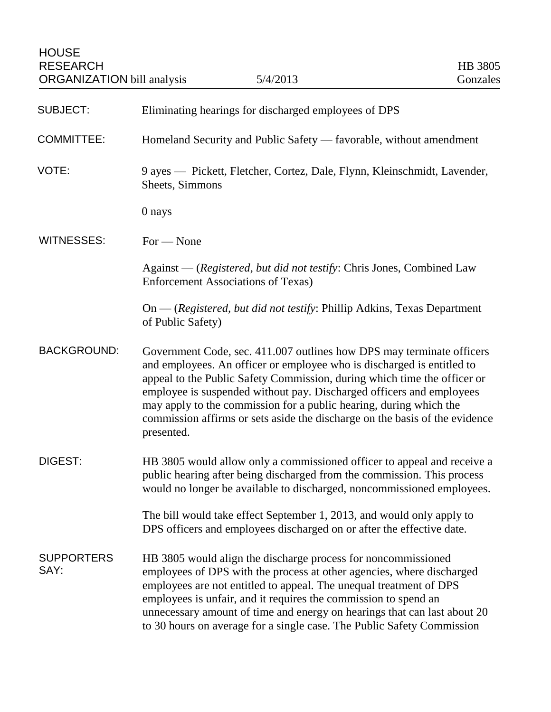| <b>SUBJECT:</b>           | Eliminating hearings for discharged employees of DPS                                                                                                                                                                                                                                                                                                                                                                                                                   |
|---------------------------|------------------------------------------------------------------------------------------------------------------------------------------------------------------------------------------------------------------------------------------------------------------------------------------------------------------------------------------------------------------------------------------------------------------------------------------------------------------------|
| <b>COMMITTEE:</b>         | Homeland Security and Public Safety — favorable, without amendment                                                                                                                                                                                                                                                                                                                                                                                                     |
| VOTE:                     | 9 ayes — Pickett, Fletcher, Cortez, Dale, Flynn, Kleinschmidt, Lavender,<br>Sheets, Simmons                                                                                                                                                                                                                                                                                                                                                                            |
|                           | 0 nays                                                                                                                                                                                                                                                                                                                                                                                                                                                                 |
| <b>WITNESSES:</b>         | $For - None$                                                                                                                                                                                                                                                                                                                                                                                                                                                           |
|                           | Against — (Registered, but did not testify: Chris Jones, Combined Law<br><b>Enforcement Associations of Texas)</b>                                                                                                                                                                                                                                                                                                                                                     |
|                           | On — (Registered, but did not testify: Phillip Adkins, Texas Department<br>of Public Safety)                                                                                                                                                                                                                                                                                                                                                                           |
| <b>BACKGROUND:</b>        | Government Code, sec. 411.007 outlines how DPS may terminate officers<br>and employees. An officer or employee who is discharged is entitled to<br>appeal to the Public Safety Commission, during which time the officer or<br>employee is suspended without pay. Discharged officers and employees<br>may apply to the commission for a public hearing, during which the<br>commission affirms or sets aside the discharge on the basis of the evidence<br>presented. |
| DIGEST:                   | HB 3805 would allow only a commissioned officer to appeal and receive a<br>public hearing after being discharged from the commission. This process<br>would no longer be available to discharged, noncommissioned employees.                                                                                                                                                                                                                                           |
|                           | The bill would take effect September 1, 2013, and would only apply to<br>DPS officers and employees discharged on or after the effective date.                                                                                                                                                                                                                                                                                                                         |
| <b>SUPPORTERS</b><br>SAY: | HB 3805 would align the discharge process for noncommissioned<br>employees of DPS with the process at other agencies, where discharged<br>employees are not entitled to appeal. The unequal treatment of DPS<br>employees is unfair, and it requires the commission to spend an<br>unnecessary amount of time and energy on hearings that can last about 20<br>to 30 hours on average for a single case. The Public Safety Commission                                  |